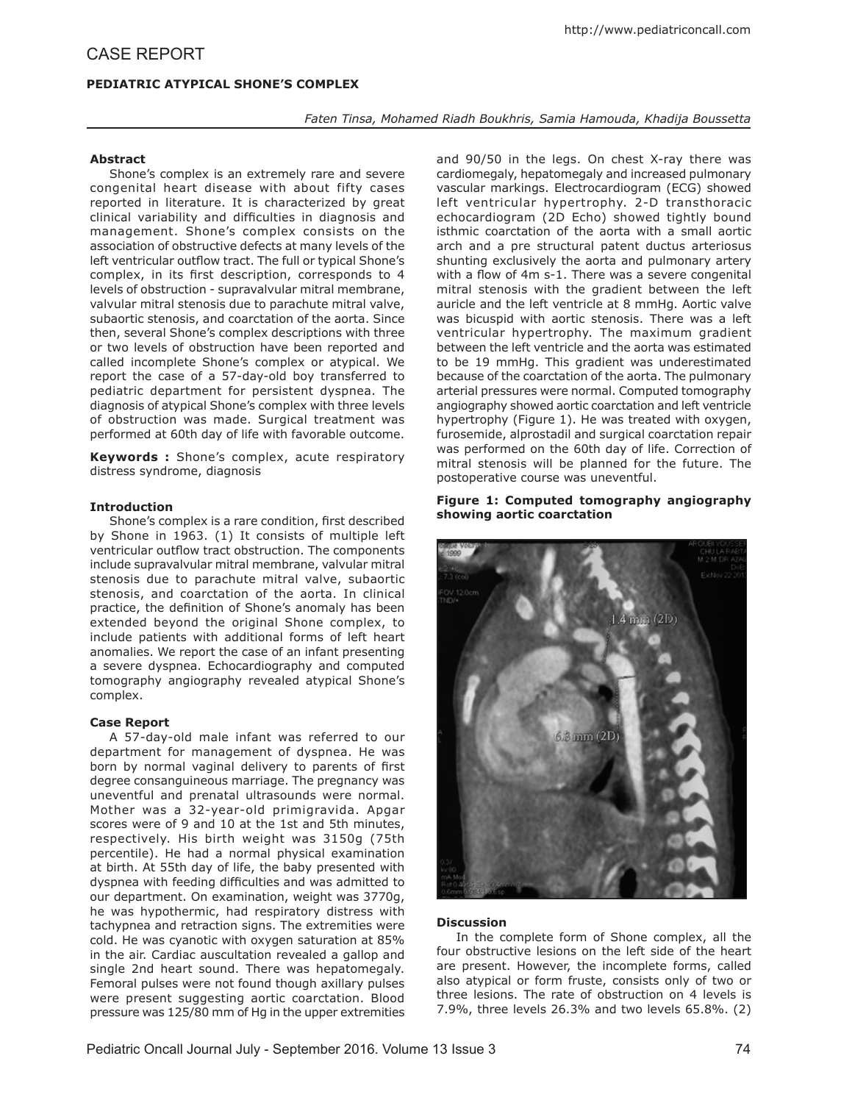# **PEDIATRIC ATYPICAL SHONE'S COMPLEX**

### *Faten Tinsa, Mohamed Riadh Boukhris, Samia Hamouda, Khadija Boussetta*

# **Abstract**

Shone's complex is an extremely rare and severe congenital heart disease with about fifty cases reported in literature. It is characterized by great clinical variability and difficulties in diagnosis and management. Shone's complex consists on the association of obstructive defects at many levels of the left ventricular outflow tract. The full or typical Shone's complex, in its first description, corresponds to 4 levels of obstruction - supravalvular mitral membrane, valvular mitral stenosis due to parachute mitral valve, subaortic stenosis, and coarctation of the aorta. Since then, several Shone's complex descriptions with three or two levels of obstruction have been reported and called incomplete Shone's complex or atypical. We report the case of a 57-day-old boy transferred to pediatric department for persistent dyspnea. The diagnosis of atypical Shone's complex with three levels of obstruction was made. Surgical treatment was performed at 60th day of life with favorable outcome.

**Keywords :** Shone's complex, acute respiratory distress syndrome, diagnosis

#### **Introduction**

Shone's complex is a rare condition, first described by Shone in 1963. (1) It consists of multiple left ventricular outflow tract obstruction. The components include supravalvular mitral membrane, valvular mitral stenosis due to parachute mitral valve, subaortic stenosis, and coarctation of the aorta. In clinical practice, the definition of Shone's anomaly has been extended beyond the original Shone complex, to include patients with additional forms of left heart anomalies. We report the case of an infant presenting a severe dyspnea. Echocardiography and computed tomography angiography revealed atypical Shone's complex.

# **Case Report**

A 57-day-old male infant was referred to our department for management of dyspnea. He was born by normal vaginal delivery to parents of first degree consanguineous marriage. The pregnancy was uneventful and prenatal ultrasounds were normal. Mother was a 32-year-old primigravida. Apgar scores were of 9 and 10 at the 1st and 5th minutes, respectively. His birth weight was 3150g (75th percentile). He had a normal physical examination at birth. At 55th day of life, the baby presented with dyspnea with feeding difficulties and was admitted to our department. On examination, weight was 3770g, he was hypothermic, had respiratory distress with tachypnea and retraction signs. The extremities were cold. He was cyanotic with oxygen saturation at 85% in the air. Cardiac auscultation revealed a gallop and single 2nd heart sound. There was hepatomegaly. Femoral pulses were not found though axillary pulses were present suggesting aortic coarctation. Blood pressure was 125/80 mm of Hg in the upper extremities

and 90/50 in the legs. On chest X-ray there was cardiomegaly, hepatomegaly and increased pulmonary vascular markings. Electrocardiogram (ECG) showed left ventricular hypertrophy. 2-D transthoracic echocardiogram (2D Echo) showed tightly bound isthmic coarctation of the aorta with a small aortic arch and a pre structural patent ductus arteriosus shunting exclusively the aorta and pulmonary artery with a flow of 4m s-1. There was a severe congenital mitral stenosis with the gradient between the left auricle and the left ventricle at 8 mmHg. Aortic valve was bicuspid with aortic stenosis. There was a left ventricular hypertrophy. The maximum gradient between the left ventricle and the aorta was estimated to be 19 mmHg. This gradient was underestimated because of the coarctation of the aorta. The pulmonary arterial pressures were normal. Computed tomography angiography showed aortic coarctation and left ventricle hypertrophy (Figure 1). He was treated with oxygen, furosemide, alprostadil and surgical coarctation repair was performed on the 60th day of life. Correction of mitral stenosis will be planned for the future. The postoperative course was uneventful.

### **Figure 1: Computed tomography angiography showing aortic coarctation**



#### **Discussion**

In the complete form of Shone complex, all the four obstructive lesions on the left side of the heart are present. However, the incomplete forms, called also atypical or form fruste, consists only of two or three lesions. The rate of obstruction on 4 levels is 7.9%, three levels 26.3% and two levels 65.8%. (2)